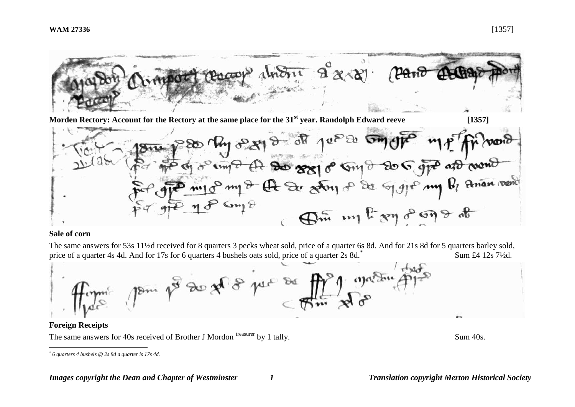

**Morden Rectory: Account for the Rectory at the same place for the 31<sup>st</sup> year. Randolph Edward reeve [1357]** 



## **Sale of corn**

The same answers for 53s 11½d received for 8 quarters 3 pecks wheat sold, price of a quarter 6s 8d. And for 21s 8d for 5 quarters barley sold, price of a quarter 4s 4d. And for 17s for 6 quarters 4 bushels oats sold, price of a quarter 2s 8d.\* Sum £4 12s 7½d.



# **Foreign Receipts**

<u>.</u>

The same answers for 40s received of Brother J Mordon treasurer by 1 tally. Sum 40s.

*<sup>\*</sup> 6 quarters 4 bushels @ 2s 8d a quarter is 17s 4d.*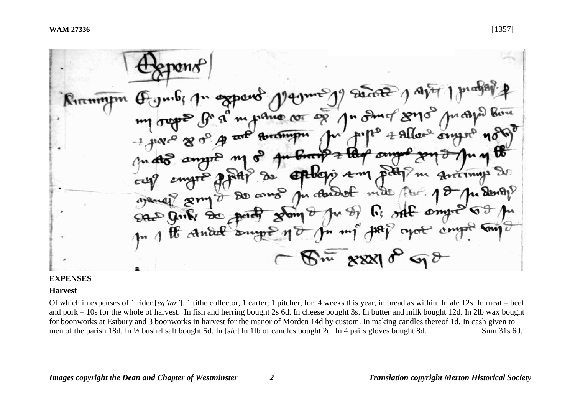Deante 1 Aver opporo  $N$ 1 $\pi$ mml pano cor og n Smot 87J Arrett ٠ eptologis am pitt u chidot mal como was James  $F_1$  off  $\epsilon$  and SALO Girls So point  $\bm \tau$ n mig HAP cycle compt  $\mathbb{R}$  xxxl  $\mathcal{C}$  or  $\mathcal{C}$ 

### **EXPENSES**

#### **Harvest**

Of which in expenses of 1 rider [*eq'tar'*], 1 tithe collector, 1 carter, 1 pitcher, for 4 weeks this year, in bread as within. In ale 12s. In meat – beef and pork – 10s for the whole of harvest. In fish and herring bought 2s 6d. In cheese bought 3s. In butter and milk bought 12d. In 2lb wax bought for boonworks at Estbury and 3 boonworks in harvest for the manor of Morden 14d by custom. In making candles thereof 1d. In cash given to men of the parish 18d. In ½ bushel salt bought 5d. In [*sic*] In 1lb of candles bought 2d. In 4 pairs gloves bought 8d. Sum 31s 6d.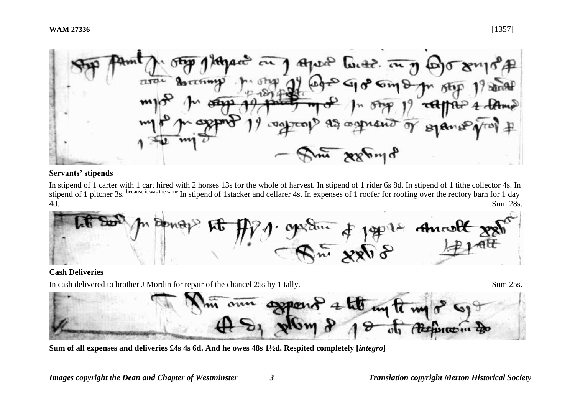

# **Servants' stipends**

In stipend of 1 carter with 1 cart hired with 2 horses 13s for the whole of harvest. In stipend of 1 rider 6s 8d. In stipend of 1 tithe collector 4s. In stipend of 1 pitcher 3s. because it was the same In stipend of 1 stacker and cellarer 4s. In expenses of 1 roofer for roofing over the rectory barn for 1 day 4d. Sum 28s.

1972 Ancolt 27  $R_{\mu\nu} = \frac{4}{3}$ 

## **Cash Deliveries**

In cash delivered to brother J Mordin for repair of the chancel 25s by 1 tally. Sum 25s.

ann depon

**Sum of all expenses and deliveries £4s 4s 6d. And he owes 48s 1½d. Respited completely [***integro***]**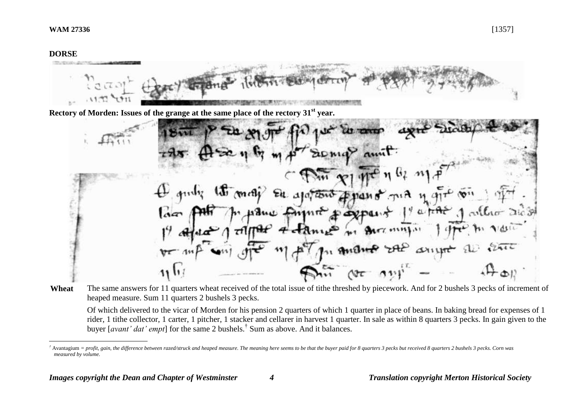### **DORSE**

1



Wheat The same answers for 11 quarters wheat received of the total issue of tithe threshed by piecework. And for 2 bushels 3 pecks of increment of heaped measure. Sum 11 quarters 2 bushels 3 pecks.

Of which delivered to the vicar of Morden for his pension 2 quarters of which 1 quarter in place of beans. In baking bread for expenses of 1 rider, 1 tithe collector, 1 carter, 1 pitcher, 1 stacker and cellarer in harvest 1 quarter. In sale as within 8 quarters 3 pecks. In gain given to the buyer [*avant' dat' empt*] for the same 2 bushels.† Sum as above. And it balances.

*<sup>†</sup>* Avantagium *= profit, gain, the difference between razed/struck and heaped measure. The meaning here seems to be that the buyer paid for 8 quarters 3 pecks but received 8 quarters 2 bushels 3 pecks. Corn was measured by volume.*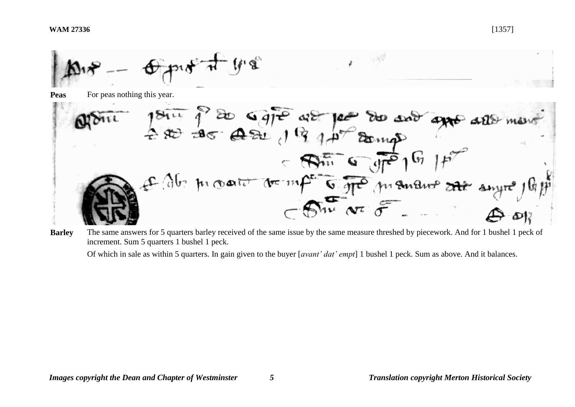

**Peas** For peas nothing this year.



**Barley** The same answers for 5 quarters barley received of the same issue by the same measure threshed by piecework. And for 1 bushel 1 peck of increment. Sum 5 quarters 1 bushel 1 peck.

Of which in sale as within 5 quarters. In gain given to the buyer [*avant' dat' empt*] 1 bushel 1 peck. Sum as above. And it balances.